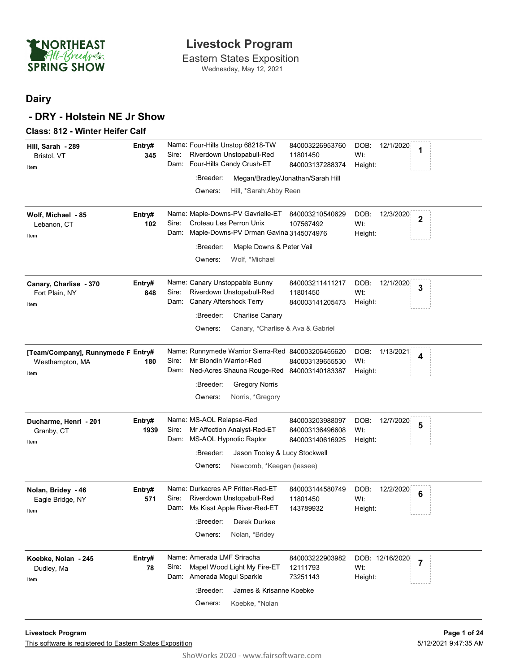

Wednesday, May 12, 2021

#### **Dairy**

#### **- DRY - Holstein NE Jr Show**

| <b>Class: 812 - Winter Heifer Calf</b>                        |                |                                                                                                                                                                                                                                                                                                         |
|---------------------------------------------------------------|----------------|---------------------------------------------------------------------------------------------------------------------------------------------------------------------------------------------------------------------------------------------------------------------------------------------------------|
| Hill, Sarah - 289<br>Bristol, VT<br>Item                      | Entry#<br>345  | Name: Four-Hills Unstop 68218-TW<br>840003226953760<br>DOB:<br>12/1/2020<br>1<br>Riverdown Unstopabull-Red<br>Sire:<br>Wt:<br>11801450<br>Dam: Four-Hills Candy Crush-ET<br>840003137288374<br>Height:<br>:Breeder:<br>Megan/Bradley/Jonathan/Sarah Hill<br>Owners:<br>Hill, *Sarah; Abby Reen          |
| Wolf, Michael - 85<br>Lebanon, CT<br>Item                     | Entry#<br>102  | Name: Maple-Downs-PV Gavrielle-ET<br>840003210540629<br>DOB:<br>12/3/2020<br>$\overline{\mathbf{2}}$<br>Croteau Les Perron Unix<br>Sire:<br>107567492<br>Wt:<br>Maple-Downs-PV Drman Gavina 3145074976<br>Dam:<br>Height:<br>:Breeder:<br>Maple Downs & Peter Vail<br>Owners:<br>Wolf, *Michael         |
| Canary, Charlise - 370<br>Fort Plain, NY<br>Item              | Entry#<br>848  | Name: Canary Unstoppable Bunny<br>840003211411217<br>DOB:<br>12/1/2020<br>$\mathbf{3}$<br>Sire:<br>Riverdown Unstopabull-Red<br>Wt:<br>11801450<br>Canary Aftershock Terry<br>Dam:<br>840003141205473<br>Height:<br>:Breeder:<br><b>Charlise Canary</b><br>Owners:<br>Canary, *Charlise & Ava & Gabriel |
| [Team/Company], Runnymede F Entry#<br>Westhampton, MA<br>Item | 180            | Name: Runnymede Warrior Sierra-Red 840003206455620<br>DOB:<br>1/13/2021<br>4<br>Mr Blondin Warrior-Red<br>Sire:<br>Wt:<br>840003139655530<br>Ned-Acres Shauna Rouge-Red 840003140183387<br>Dam:<br>Height:<br>:Breeder:<br><b>Gregory Norris</b><br>Owners:<br>Norris, *Gregory                         |
| Ducharme, Henri - 201<br>Granby, CT<br>Item                   | Entry#<br>1939 | Name: MS-AOL Relapse-Red<br>DOB:<br>840003203988097<br>12/7/2020<br>5<br>Mr Affection Analyst-Red-ET<br>Sire:<br>Wt:<br>840003136496608<br>MS-AOL Hypnotic Raptor<br>Dam:<br>840003140616925<br>Height:<br>:Breeder:<br>Jason Tooley & Lucy Stockwell<br>Owners:<br>Newcomb, *Keegan (lessee)           |
| Nolan, Bridey - 46<br>Eagle Bridge, NY<br>Item                | Entry#<br>571  | Name: Durkacres AP Fritter-Red-ET<br>840003144580749<br>DOB:<br>12/2/2020<br>6<br>Riverdown Unstopabull-Red<br>Sire:<br>Wt:<br>11801450<br>Dam: Ms Kisst Apple River-Red-ET<br>143789932<br>Height:<br>:Breeder:<br>Derek Durkee<br>Owners:<br>Nolan, *Bridey                                           |
| Koebke, Nolan - 245<br>Dudley, Ma<br>Item                     | Entry#<br>78   | Name: Amerada LMF Sriracha<br>840003222903982<br>DOB: 12/16/2020<br>$\overline{7}$<br>Mapel Wood Light My Fire-ET<br>Sire:<br>Wt:<br>12111793<br>Dam: Amerada Mogul Sparkle<br>73251143<br>Height:<br>:Breeder:<br>James & Krisanne Koebke<br>Owners:<br>Koebke, *Nolan                                 |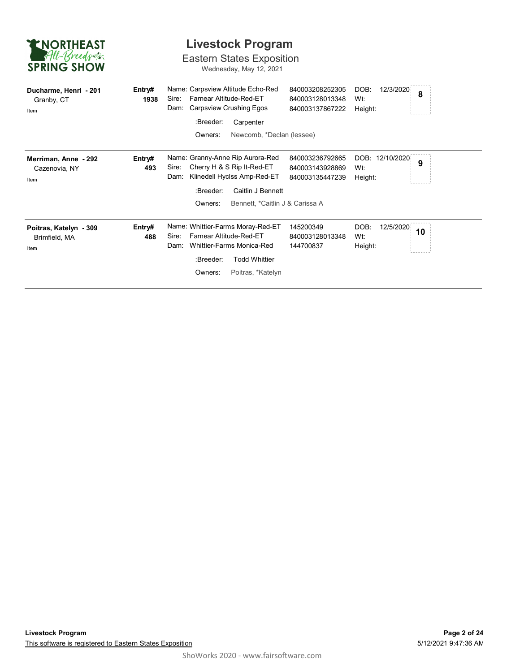| <b>ENORTHEAST</b><br>All-Breeds<br><b>SPRING SHOW</b> |                | <b>Livestock Program</b><br><b>Eastern States Exposition</b><br>Wednesday, May 12, 2021                                                                                                                                                                                                           |
|-------------------------------------------------------|----------------|---------------------------------------------------------------------------------------------------------------------------------------------------------------------------------------------------------------------------------------------------------------------------------------------------|
| Ducharme, Henri - 201<br>Granby, CT<br>Item           | Entry#<br>1938 | Name: Carpsview Altitude Echo-Red<br>DOB:<br>840003208252305<br>12/3/2020<br>8<br>Farnear Altitude-Red-ET<br>Sire:<br>840003128013348<br>Wt:<br>Carpsview Crushing Egos<br>Dam:<br>840003137867222<br>Height:<br>:Breeder:<br>Carpenter<br>Owners:<br>Newcomb, *Declan (lessee)                   |
| Merriman, Anne - 292<br>Cazenovia, NY<br>Item         | Entry#<br>493  | Name: Granny-Anne Rip Aurora-Red<br>DOB: 12/10/2020<br>840003236792665<br>9<br>Cherry H & S Rip It-Red-ET<br>Sire:<br>840003143928869<br>Wt:<br>Klinedell Hyclss Amp-Red-ET<br>Dam:<br>840003135447239<br>Height:<br>:Breeder:<br>Caitlin J Bennett<br>Owners:<br>Bennett, *Caitlin J & Carissa A |
| Poitras, Katelyn - 309<br>Brimfield, MA<br>Item       | Entry#<br>488  | Name: Whittier-Farms Moray-Red-ET<br>DOB:<br>145200349<br>12/5/2020<br>10<br>Farnear Altitude-Red-ET<br>Sire:<br>840003128013348<br>Wt:<br>Whittier-Farms Monica-Red<br>Dam:<br>144700837<br>Height:<br>:Breeder:<br><b>Todd Whittier</b><br>Owners:<br>Poitras, *Katelyn                         |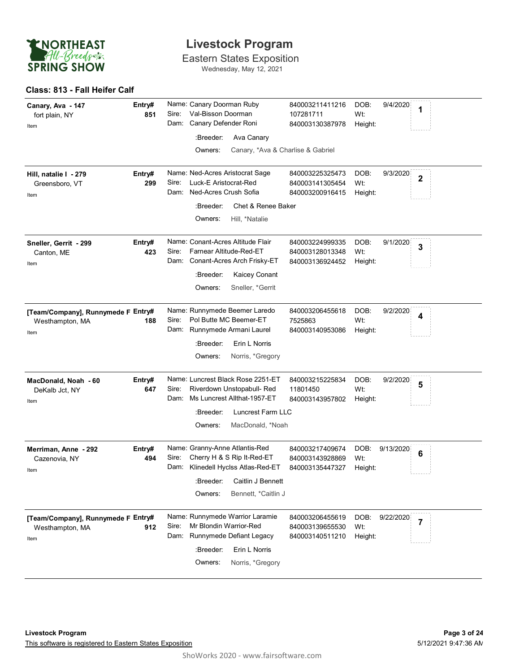

Eastern States Exposition Wednesday, May 12, 2021

#### **Class: 813 - Fall Heifer Calf**

| Canary, Ava - 147<br>fort plain, NY<br>Item                   | Entry#<br>851 | Name: Canary Doorman Ruby<br>Val-Bisson Doorman<br>Sire:<br>Dam: Canary Defender Roni<br>:Breeder:<br>Ava Canary<br>Owners:<br>Canary, *Ava & Charlise & Gabriel              | 840003211411216<br>107281711<br>840003130387978       | 9/4/2020<br>DOB:<br>1<br>Wt:<br>Height:               |
|---------------------------------------------------------------|---------------|-------------------------------------------------------------------------------------------------------------------------------------------------------------------------------|-------------------------------------------------------|-------------------------------------------------------|
| Hill, natalie I - 279<br>Greensboro, VT<br>Item               | Entry#<br>299 | Name: Ned-Acres Aristocrat Sage<br>Luck-E Aristocrat-Red<br>Sire:<br>Dam: Ned-Acres Crush Sofia<br>:Breeder:<br>Chet & Renee Baker<br>Owners:<br>Hill, *Natalie               | 840003225325473<br>840003141305454<br>840003200916415 | DOB:<br>9/3/2020<br>$\mathbf 2$<br>Wt:<br>Height:     |
| Sneller, Gerrit - 299<br>Canton, ME<br>Item                   | Entry#<br>423 | Name: Conant-Acres Altitude Flair<br>Farnear Altitude-Red-ET<br>Sire:<br>Dam: Conant-Acres Arch Frisky-ET<br>:Breeder:<br>Kaicey Conant<br>Owners:<br>Sneller, *Gerrit        | 840003224999335<br>840003128013348<br>840003136924452 | DOB:<br>9/1/2020<br>3<br>Wt:<br>Height:               |
| [Team/Company], Runnymede F Entry#<br>Westhampton, MA<br>Item | 188           | Name: Runnymede Beemer Laredo<br>Pol Butte MC Beemer-ET<br>Sire:<br>Dam: Runnymede Armani Laurel<br>Erin L Norris<br>:Breeder:<br>Owners:<br>Norris, *Gregory                 | 840003206455618<br>7525863<br>840003140953086         | DOB:<br>9/2/2020<br>4<br>Wt:<br>Height:               |
| MacDonald, Noah - 60<br>DeKalb Jct, NY<br>Item                | Entry#<br>647 | Name: Luncrest Black Rose 2251-ET<br>Riverdown Unstopabull- Red<br>Sire:<br>Dam: Ms Luncrest Allthat-1957-ET<br>Luncrest Farm LLC<br>:Breeder:<br>MacDonald, *Noah<br>Owners: | 840003215225834<br>11801450<br>840003143957802        | DOB:<br>9/2/2020<br>5<br>Wt:<br>Height:               |
| Merriman, Anne - 292<br>Cazenovia, NY<br>Item                 | Entry#<br>494 | Name: Granny-Anne Atlantis-Red<br>Cherry H & S Rip It-Red-ET<br>Sire:<br>Dam: Klinedell Hyclss Atlas-Red-ET<br>:Breeder: Caitlin J Bennett<br>Owners:<br>Bennett, *Caitlin J  | 840003217409674<br>840003143928869<br>840003135447327 | DOB:<br>9/13/2020<br>6<br>Wt:<br>Height:              |
| [Team/Company], Runnymede F Entry#<br>Westhampton, MA<br>Item | 912           | Name: Runnymede Warrior Laramie<br>Mr Blondin Warrior-Red<br>Sire:<br>Dam: Runnymede Defiant Legacy<br>:Breeder:<br>Erin L Norris<br>Owners:<br>Norris, *Gregory              | 840003206455619<br>840003139655530<br>840003140511210 | DOB:<br>9/22/2020<br>$\overline{7}$<br>Wt:<br>Height: |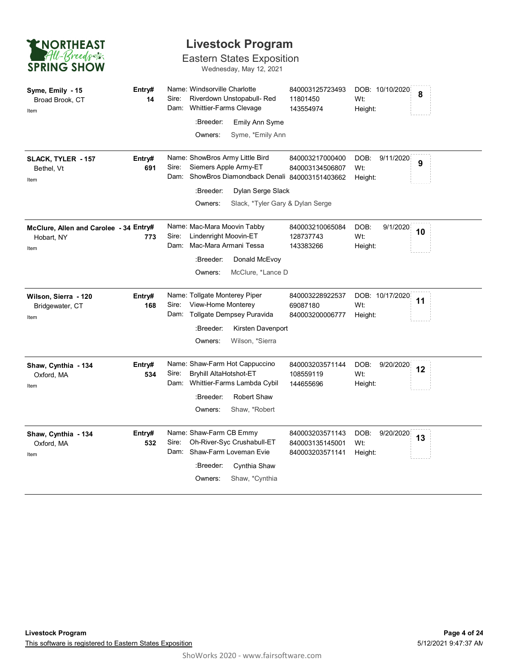

Eastern States Exposition

Wednesday, May 12, 2021

| Syme, Emily - 15<br>Broad Brook, CT<br>Item                  | Entry#<br>14  | Name: Windsorville Charlotte<br>Sire:<br>Riverdown Unstopabull-Red<br>Whittier-Farms Clevage<br>Dam:<br>:Breeder:<br>Emily Ann Syme<br>Owners:<br>Syme, *Emily Ann                                     | 840003125723493<br>11801450<br>143554974              | DOB: 10/10/2020<br>Wt:<br>Height:   | 8  |
|--------------------------------------------------------------|---------------|--------------------------------------------------------------------------------------------------------------------------------------------------------------------------------------------------------|-------------------------------------------------------|-------------------------------------|----|
| SLACK, TYLER - 157<br>Bethel, Vt<br>Item                     | Entry#<br>691 | Name: ShowBros Army Little Bird<br>Siemers Apple Army-ET<br>Sire:<br>Dam: ShowBros Diamondback Denali 840003151403662<br>:Breeder:<br>Dylan Serge Slack<br>Owners:<br>Slack, *Tyler Gary & Dylan Serge | 840003217000400<br>840003134506807                    | DOB:<br>9/11/2020<br>Wt:<br>Height: | 9  |
| McClure, Allen and Carolee - 34 Entry#<br>Hobart, NY<br>Item | 773           | Name: Mac-Mara Moovin Tabby<br>Lindenright Moovin-ET<br>Sire:<br>Mac-Mara Armani Tessa<br>Dam:<br>:Breeder:<br>Donald McEvoy<br>Owners:<br>McClure, *Lance D                                           | 840003210065084<br>128737743<br>143383266             | DOB:<br>9/1/2020<br>Wt:<br>Height:  | 10 |
| Wilson, Sierra - 120<br>Bridgewater, CT<br>Item              | Entry#<br>168 | Name: Tollgate Monterey Piper<br>View-Home Monterey<br>Sire:<br>Dam: Tollgate Dempsey Puravida<br>:Breeder:<br>Kirsten Davenport<br>Owners:<br>Wilson, *Sierra                                         | 840003228922537<br>69087180<br>840003200006777        | DOB: 10/17/2020<br>Wt:<br>Height:   | 11 |
| Shaw, Cynthia - 134<br>Oxford, MA<br>Item                    | Entry#<br>534 | Name: Shaw-Farm Hot Cappuccino<br>Sire:<br><b>Bryhill AltaHotshot-ET</b><br>Dam: Whittier-Farms Lambda Cybil<br><b>Robert Shaw</b><br>:Breeder:<br>Owners:<br>Shaw, *Robert                            | 840003203571144<br>108559119<br>144655696             | DOB:<br>9/20/2020<br>Wt:<br>Height: | 12 |
| Shaw, Cynthia - 134<br>Oxford, MA<br>Item                    | Entry#<br>532 | Name: Shaw-Farm CB Emmy<br>Oh-River-Syc Crushabull-ET<br>Sire:<br>Dam: Shaw-Farm Loveman Evie<br>:Breeder:<br>Cynthia Shaw<br>Owners:<br>Shaw, *Cynthia                                                | 840003203571143<br>840003135145001<br>840003203571141 | DOB:<br>9/20/2020<br>Wt:<br>Height: | 13 |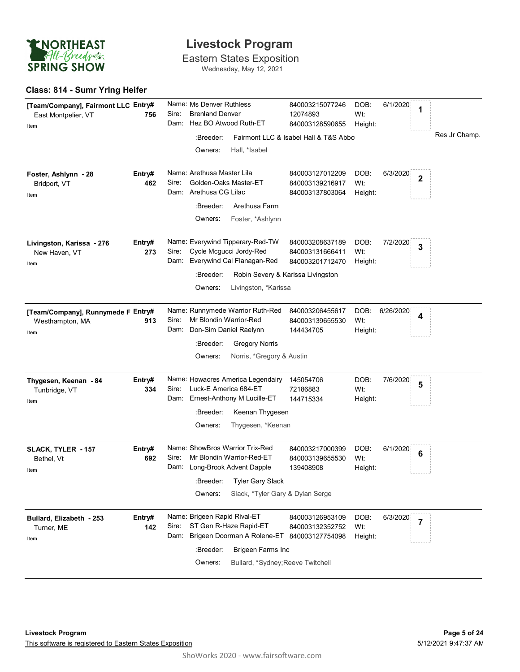

Eastern States Exposition Wednesday, May 12, 2021

#### **Class: 814 - Sumr Yrlng Heifer**

| [Team/Company], Fairmont LLC Entry#<br>East Montpelier, VT<br>Item | 756           | Sire:<br>Dam: | Name: Ms Denver Ruthless<br><b>Brenland Denver</b><br>Hez BO Atwood Ruth-ET                                            |                                                        | 840003215077246<br>12074893<br>840003128590655                                             | DOB:<br>Wt:<br>Height: | 6/1/2020  | 1              |               |
|--------------------------------------------------------------------|---------------|---------------|------------------------------------------------------------------------------------------------------------------------|--------------------------------------------------------|--------------------------------------------------------------------------------------------|------------------------|-----------|----------------|---------------|
|                                                                    |               |               | :Breeder:<br>Owners:                                                                                                   | Hall, *Isabel                                          | Fairmont LLC & Isabel Hall & T&S Abbo                                                      |                        |           |                | Res Jr Champ. |
| Foster, Ashlynn - 28<br>Bridport, VT<br>Item                       | Entry#<br>462 | Sire:         | Name: Arethusa Master Lila<br>Golden-Oaks Master-ET<br>Dam: Arethusa CG Lilac<br>:Breeder:<br>Owners:                  | Arethusa Farm<br>Foster, *Ashlynn                      | 840003127012209<br>840003139216917<br>840003137803064                                      | DOB:<br>Wt:<br>Height: | 6/3/2020  | $\mathbf 2$    |               |
| Livingston, Karissa - 276<br>New Haven, VT<br>Item                 | Entry#<br>273 | Sire:         | Name: Everywind Tipperary-Red-TW<br>Cycle Mcgucci Jordy-Red<br>Dam: Everywind Cal Flanagan-Red<br>:Breeder:<br>Owners: | Livingston, *Karissa                                   | 840003208637189<br>840003131666411<br>840003201712470<br>Robin Severy & Karissa Livingston | DOB:<br>Wt:<br>Height: | 7/2/2020  | 3              |               |
| [Team/Company], Runnymede F Entry#<br>Westhampton, MA<br>Item      | 913           | Sire:<br>Dam: | Name: Runnymede Warrior Ruth-Red<br>Mr Blondin Warrior-Red<br>Don-Sim Daniel Raelynn<br>:Breeder:<br>Owners:           | <b>Gregory Norris</b><br>Norris, *Gregory & Austin     | 840003206455617<br>840003139655530<br>144434705                                            | DOB:<br>Wt:<br>Height: | 6/26/2020 | 4              |               |
| Thygesen, Keenan - 84<br>Tunbridge, VT<br>Item                     | Entry#<br>334 | Sire:         | Name: Howacres America Legendairy<br>Luck-E America 684-ET<br>Dam: Ernest-Anthony M Lucille-ET<br>:Breeder:<br>Owners: | Keenan Thygesen<br>Thygesen, *Keenan                   | 145054706<br>72186883<br>144715334                                                         | DOB:<br>Wt:<br>Height: | 7/6/2020  | 5              |               |
| SLACK, TYLER - 157<br>Bethel, Vt<br>Item                           | Entry#<br>692 | Sire:         | Name: ShowBros Warrior Trix-Red<br>Mr Blondin Warrior-Red-ET<br>Dam: Long-Brook Advent Dapple<br>:Breeder:<br>Owners:  | Tyler Gary Slack<br>Slack, *Tyler Gary & Dylan Serge   | 840003217000399<br>840003139655530<br>139408908                                            | DOB:<br>Wt:<br>Height: | 6/1/2020  | 6              |               |
| Bullard, Elizabeth - 253<br>Turner, ME<br>Item                     | Entry#<br>142 | Sire:<br>Dam: | Name: Brigeen Rapid Rival-ET<br>ST Gen R-Haze Rapid-ET<br>:Breeder:<br>Owners:                                         | Brigeen Farms Inc<br>Bullard, *Sydney; Reeve Twitchell | 840003126953109<br>840003132352752<br>Brigeen Doorman A Rolene-ET 840003127754098          | DOB:<br>Wt:<br>Height: | 6/3/2020  | $\overline{7}$ |               |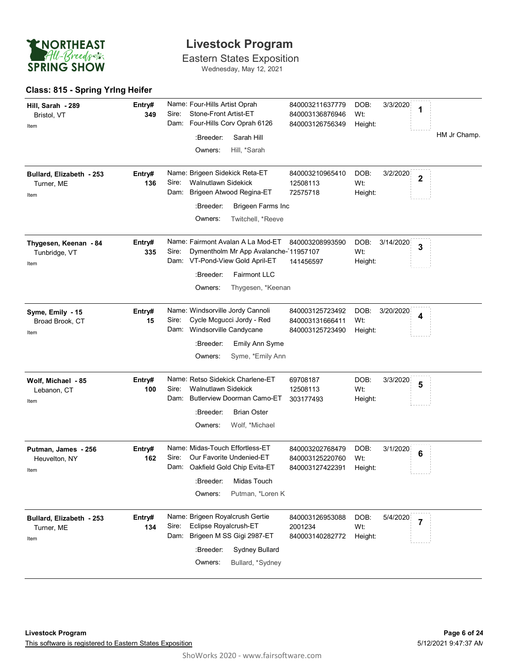

Eastern States Exposition Wednesday, May 12, 2021

#### **Class: 815 - Spring Yrlng Heifer**

| Hill, Sarah - 289<br>Bristol, VT<br>Item       | Entry#<br>349 | Name: Four-Hills Artist Oprah<br>Stone-Front Artist-ET<br>Sire:<br>Four-Hills Corv Oprah 6126<br>Dam:<br>:Breeder:<br>Sarah Hill<br>Owners:<br>Hill, *Sarah                        | 840003211637779<br>840003136876946<br>840003126756349 | DOB:<br>3/3/2020<br>1<br>Wt:<br>Height:                       | HM Jr Champ. |
|------------------------------------------------|---------------|------------------------------------------------------------------------------------------------------------------------------------------------------------------------------------|-------------------------------------------------------|---------------------------------------------------------------|--------------|
| Bullard, Elizabeth - 253<br>Turner, ME<br>Item | Entry#<br>136 | Name: Brigeen Sidekick Reta-ET<br>Sire:<br><b>Walnutlawn Sidekick</b><br>Brigeen Atwood Regina-ET<br>Dam:<br>:Breeder:<br>Brigeen Farms Inc<br>Owners:<br>Twitchell, *Reeve        | 840003210965410<br>12508113<br>72575718               | DOB:<br>3/2/2020<br>$\overline{\mathbf{2}}$<br>Wt:<br>Height: |              |
| Thygesen, Keenan - 84<br>Tunbridge, VT<br>Item | Entry#<br>335 | Name: Fairmont Avalan A La Mod-ET<br>Dymentholm Mr App Avalanche-11957107<br>Sire:<br>Dam: VT-Pond-View Gold April-ET<br>:Breeder:<br>Fairmont LLC<br>Owners:<br>Thygesen, *Keenan | 840003208993590<br>141456597                          | DOB:<br>3/14/2020<br>3<br>Wt:<br>Height:                      |              |
| Syme, Emily - 15<br>Broad Brook, CT<br>Item    | Entry#<br>15  | Name: Windsorville Jordy Cannoli<br>Cycle Mcgucci Jordy - Red<br>Sire:<br>Dam: Windsorville Candycane<br>:Breeder:<br>Emily Ann Syme<br>Owners:<br>Syme, *Emily Ann                | 840003125723492<br>840003131666411<br>840003125723490 | DOB:<br>3/20/2020<br>4<br>Wt:<br>Height:                      |              |
| Wolf, Michael - 85<br>Lebanon, CT<br>Item      | Entry#<br>100 | Name: Retso Sidekick Charlene-ET<br>Sire:<br>Walnutlawn Sidekick<br><b>Butlerview Doorman Camo-ET</b><br>Dam:<br><b>Brian Oster</b><br>:Breeder:<br>Wolf, *Michael<br>Owners:      | 69708187<br>12508113<br>303177493                     | DOB:<br>3/3/2020<br>5<br>Wt:<br>Height:                       |              |
| Putman, James - 256<br>Heuvelton, NY<br>Item   | Entry#<br>162 | Name: Midas-Touch Effortless-ET<br>Sire:<br>Our Favorite Undenied-ET<br>Dam: Oakfield Gold Chip Evita-ET<br>:Breeder:<br>Midas Touch<br>Owners:<br>Putman, *Loren K                | 840003202768479<br>840003125220760<br>840003127422391 | DOB:<br>3/1/2020<br>$6\phantom{1}6$<br>Wt:<br>Height:         |              |
| Bullard, Elizabeth - 253<br>Turner, ME<br>Item | Entry#<br>134 | Name: Brigeen Royalcrush Gertie<br>Eclipse Royalcrush-ET<br>Sire:<br>Brigeen M SS Gigi 2987-ET<br>Dam:<br>:Breeder:<br>Sydney Bullard<br>Owners:<br>Bullard, *Sydney               | 840003126953088<br>2001234<br>840003140282772         | DOB:<br>5/4/2020<br>$\overline{7}$<br>Wt:<br>Height:          |              |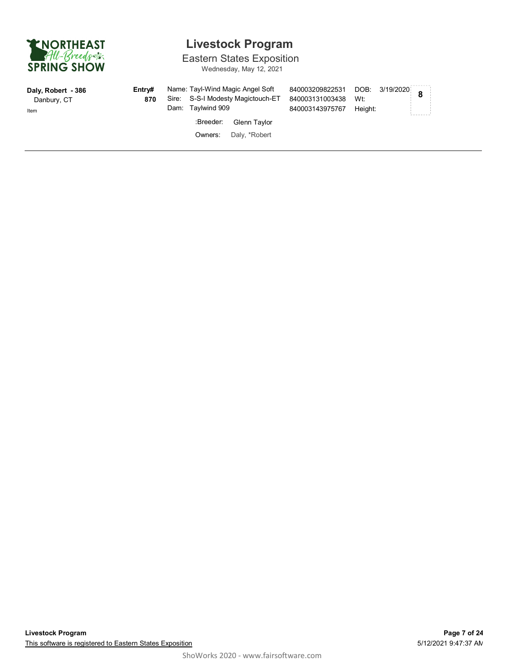

Eastern States Exposition

Wednesday, May 12, 2021

| Daly, Robert - 386<br>Danbury, CT<br>Item | Entrv#<br>870 | Dam: Taylwind 909 | Name: Tayl-Wind Magic Angel Soft<br>Sire: S-S-I Modesty Magictouch-ET | 840003209822531<br>840003131003438<br>840003143975767 | Wt:<br>Heiaht: | $DOB: 3/19/2020$ 8 | --------- |  |
|-------------------------------------------|---------------|-------------------|-----------------------------------------------------------------------|-------------------------------------------------------|----------------|--------------------|-----------|--|
|                                           |               | :Breeder:         | Glenn Taylor                                                          |                                                       |                |                    |           |  |
|                                           |               | Owners:           | Daly, *Robert                                                         |                                                       |                |                    |           |  |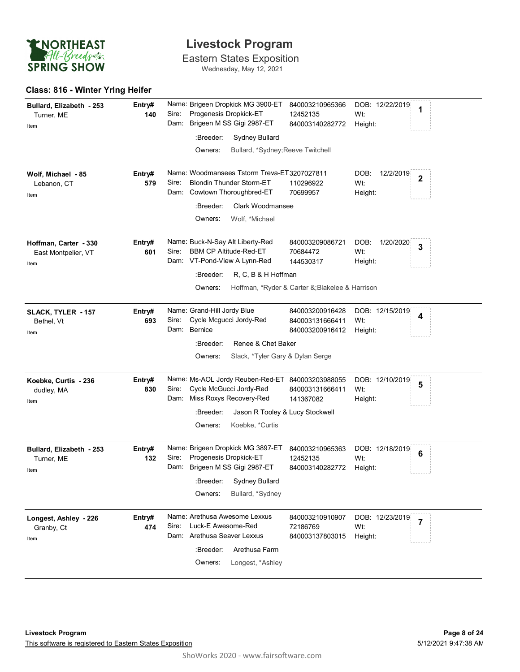

Eastern States Exposition Wednesday, May 12, 2021

#### **Class: 816 - Winter Yrlng Heifer**

| Bullard, Elizabeth - 253<br>Turner, ME<br>Item       | Entry#<br>140 | Name: Brigeen Dropkick MG 3900-ET<br>Progenesis Dropkick-ET<br>Sire:<br>Dam: Brigeen M SS Gigi 2987-ET<br>:Breeder:<br><b>Sydney Bullard</b>                         | 840003210965366<br>12452135<br>840003140282772                                              | DOB: 12/22/2019<br>1<br>Wt:<br>Height:                         |
|------------------------------------------------------|---------------|----------------------------------------------------------------------------------------------------------------------------------------------------------------------|---------------------------------------------------------------------------------------------|----------------------------------------------------------------|
|                                                      |               | Owners:<br>Bullard, *Sydney; Reeve Twitchell                                                                                                                         |                                                                                             |                                                                |
| Wolf, Michael - 85<br>Lebanon, CT<br>Item            | Entry#<br>579 | Name: Woodmansees Tstorm Treva-ET3207027811<br>Sire:<br><b>Blondin Thunder Storm-ET</b><br>Dam: Cowtown Thoroughbred-ET                                              | 110296922<br>70699957                                                                       | DOB:<br>12/2/2019<br>$\overline{\mathbf{2}}$<br>Wt:<br>Height: |
|                                                      |               | :Breeder:<br>Clark Woodmansee<br>Owners:<br>Wolf, *Michael                                                                                                           |                                                                                             |                                                                |
| Hoffman, Carter - 330<br>East Montpelier, VT<br>Item | Entry#<br>601 | Name: Buck-N-Say Alt Liberty-Red<br>Sire:<br><b>BBM CP Altitude-Red-ET</b><br>Dam: VT-Pond-View A Lynn-Red<br>R, C, B & H Hoffman<br>:Breeder:<br>Owners:            | 840003209086721<br>70684472<br>144530317<br>Hoffman, *Ryder & Carter &; Blakelee & Harrison | DOB:<br>1/20/2020<br>3<br>Wt:<br>Height:                       |
| SLACK, TYLER - 157<br>Bethel, Vt<br>Item             | Entry#<br>693 | Name: Grand-Hill Jordy Blue<br>Cycle Mcgucci Jordy-Red<br>Sire:<br>Dam: Bernice<br>Renee & Chet Baker                                                                | 840003200916428<br>840003131666411<br>840003200916412                                       | DOB: 12/15/2019<br>4<br>Wt:<br>Height:                         |
|                                                      |               | :Breeder:<br>Owners:<br>Slack, *Tyler Gary & Dylan Serge                                                                                                             |                                                                                             |                                                                |
| Koebke, Curtis - 236<br>dudley, MA<br>Item           | Entry#<br>830 | Name: Ms-AOL Jordy Reuben-Red-ET 840003203988055<br>Cycle McGucci Jordy-Red<br>Sire:<br>Dam: Miss Roxys Recovery-Red                                                 | 840003131666411<br>141367082                                                                | DOB: 12/10/2019<br>5<br>Wt:<br>Height:                         |
|                                                      |               | :Breeder:<br>Jason R Tooley & Lucy Stockwell<br>Owners:<br>Koebke, *Curtis                                                                                           |                                                                                             |                                                                |
| Bullard, Elizabeth - 253<br>Turner, ME<br>Item       | Entry#<br>132 | Name: Brigeen Dropkick MG 3897-ET<br>Sire:<br>Progenesis Dropkick-ET<br>Dam: Brigeen M SS Gigi 2987-ET<br>:Breeder:<br>Sydney Bullard<br>Owners:<br>Bullard, *Sydney | 840003210965363<br>12452135<br>840003140282772                                              | DOB: 12/18/2019<br>$6\phantom{1}6$<br>Wt:<br>Height:           |
| Longest, Ashley - 226<br>Granby, Ct<br>Item          | Entry#<br>474 | Name: Arethusa Awesome Lexxus<br>Luck-E Awesome-Red<br>Sire:<br>Dam: Arethusa Seaver Lexxus<br>:Breeder:<br>Arethusa Farm<br>Owners:<br>Longest, *Ashley             | 840003210910907<br>72186769<br>840003137803015                                              | DOB: 12/23/2019<br>$\overline{7}$<br>Wt:<br>Height:            |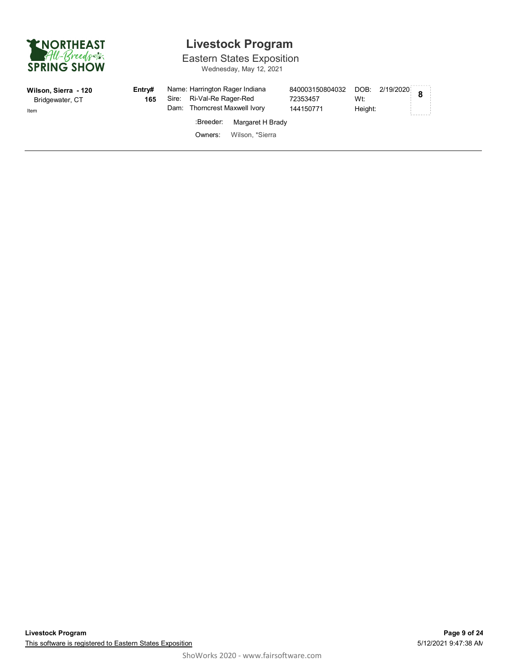

# **Livestock Program**

Eastern States Exposition

Wednesday, May 12, 2021

| Wilson, Sierra - 120<br>Bridgewater, CT<br>Item | Entrv#<br>165 | Name: Harrington Rager Indiana<br>Sire: Ri-Val-Re Rager-Red<br>Dam: Thorncrest Maxwell Ivory |                  | 840003150804032 DOB: 2/19/2020 8<br>72353457<br>144150771 | Wt:<br>Height: | -------- |
|-------------------------------------------------|---------------|----------------------------------------------------------------------------------------------|------------------|-----------------------------------------------------------|----------------|----------|
|                                                 |               | :Breeder:                                                                                    | Margaret H Brady |                                                           |                |          |
|                                                 |               | Owners:                                                                                      | Wilson, *Sierra  |                                                           |                |          |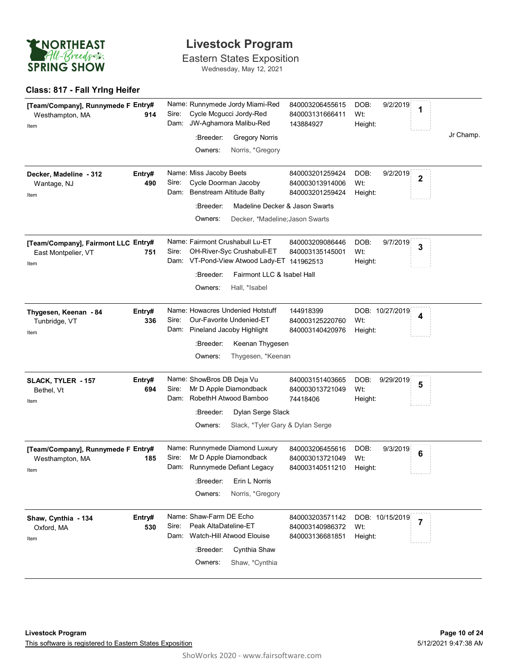

Eastern States Exposition Wednesday, May 12, 2021

#### **Class: 817 - Fall Yrlng Heifer**

| [Team/Company], Runnymede F Entry#<br>Westhampton, MA<br>914<br>Item      | Name: Runnymede Jordy Miami-Red<br>Cycle Mcgucci Jordy-Red<br>Sire:<br>JW-Aghamora Malibu-Red<br>Dam:<br>:Breeder:<br><b>Gregory Norris</b><br>Owners:<br>Norris, *Gregory  | 840003206455615<br>840003131666411<br>143884927       | DOB:<br>9/2/2019<br>1<br>Wt:<br>Height:                       | Jr Champ. |
|---------------------------------------------------------------------------|-----------------------------------------------------------------------------------------------------------------------------------------------------------------------------|-------------------------------------------------------|---------------------------------------------------------------|-----------|
| Entry#<br>Decker, Madeline - 312<br>490<br>Wantage, NJ<br>Item            | Name: Miss Jacoby Beets<br>Cycle Doorman Jacoby<br>Sire:<br>Dam: Benstream Altitude Balty                                                                                   | 840003201259424<br>840003013914006<br>840003201259424 | DOB:<br>9/2/2019<br>$\overline{\mathbf{2}}$<br>Wt:<br>Height: |           |
|                                                                           | :Breeder:<br>Madeline Decker & Jason Swarts<br>Owners:<br>Decker, *Madeline; Jason Swarts                                                                                   |                                                       |                                                               |           |
| [Team/Company], Fairmont LLC Entry#<br>East Montpelier, VT<br>751<br>Item | Name: Fairmont Crushabull Lu-ET<br>OH-River-Syc Crushabull-ET<br>Sire:<br>Dam: VT-Pond-View Atwood Lady-ET 141962513<br>:Breeder:<br>Fairmont LLC & Isabel Hall             | 840003209086446<br>840003135145001                    | DOB:<br>9/7/2019<br>3<br>Wt:<br>Height:                       |           |
| Entry#<br>Thygesen, Keenan - 84<br>336<br>Tunbridge, VT<br>Item           | Owners:<br>Hall, *Isabel<br>Name: Howacres Undenied Hotstuff<br>Sire:<br>Our-Favorite Undenied-ET<br>Dam: Pineland Jacoby Highlight                                         | 144918399<br>840003125220760<br>840003140420976       | DOB: 10/27/2019<br>4<br>Wt:<br>Height:                        |           |
|                                                                           | :Breeder:<br>Keenan Thygesen<br>Thygesen, *Keenan<br>Owners:                                                                                                                |                                                       |                                                               |           |
| Entry#<br>SLACK, TYLER - 157<br>694<br>Bethel, Vt<br>Item                 | Name: ShowBros DB Deja Vu<br>Mr D Apple Diamondback<br>Sire:<br>Dam: RobethH Atwood Bamboo<br>:Breeder:<br>Dylan Serge Slack<br>Slack, *Tyler Gary & Dylan Serge<br>Owners: | 840003151403665<br>840003013721049<br>74418406        | DOB:<br>9/29/2019<br>5<br>Wt:<br>Height:                      |           |
| [Team/Company], Runnymede F Entry#<br>185<br>Westhampton, MA<br>Item      | Name: Runnymede Diamond Luxury<br>Mr D Apple Diamondback<br>Sire:<br>Runnymede Defiant Legacy<br>Dam:<br>Erin L Norris<br>:Breeder:<br>Owners:<br>Norris, *Gregory          | 840003206455616<br>840003013721049<br>840003140511210 | DOB:<br>9/3/2019<br>6<br>Wt:<br>Height:                       |           |
| Entry#<br>Shaw, Cynthia - 134<br>530<br>Oxford, MA<br>Item                | Name: Shaw-Farm DE Echo<br>Peak AltaDateline-ET<br>Sire:<br>Watch-Hill Atwood Elouise<br>Dam:<br>:Breeder:<br>Cynthia Shaw<br>Owners:<br>Shaw, *Cynthia                     | 840003203571142<br>840003140986372<br>840003136681851 | DOB: 10/15/2019<br>$\overline{7}$<br>Wt:<br>Height:           |           |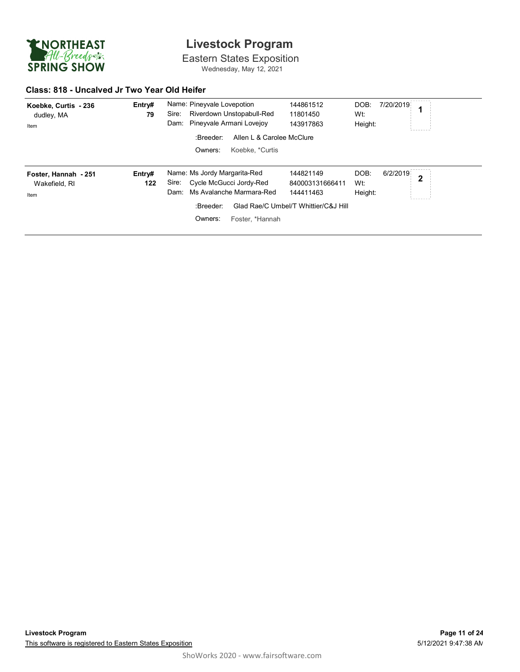

Eastern States Exposition Wednesday, May 12, 2021

#### **Class: 818 - Uncalved Jr Two Year Old Heifer**

| Koebke, Curtis - 236<br>dudley, MA<br>Item    | Entry#<br>79  | Name: Pineyvale Lovepotion<br>Riverdown Unstopabull-Red<br>Sire:<br>Dam: Pineyvale Armani Lovejoy                                            | 144861512<br>11801450<br>143917863                                                | DOB:<br>Wt:<br>Height: | 7/20/2019 |   |
|-----------------------------------------------|---------------|----------------------------------------------------------------------------------------------------------------------------------------------|-----------------------------------------------------------------------------------|------------------------|-----------|---|
|                                               |               | Allen L & Carolee McClure<br>:Breeder:<br>Koebke. *Curtis<br>Owners:                                                                         |                                                                                   |                        |           |   |
| Foster, Hannah - 251<br>Wakefield, RI<br>Item | Entry#<br>122 | Name: Ms Jordy Margarita-Red<br>Sire: Cycle McGucci Jordy-Red<br>Ms Avalanche Marmara-Red<br>Dam:<br>:Breeder:<br>Owners:<br>Foster, *Hannah | 144821149<br>840003131666411<br>144411463<br>Glad Rae/C Umbel/T Whittier/C&J Hill | DOB:<br>Wt:<br>Height: | 6/2/2019  | 2 |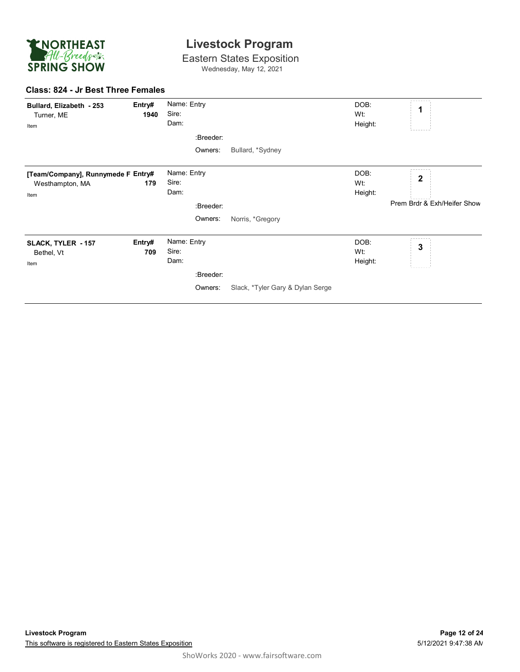

Eastern States Exposition Wednesday, May 12, 2021

#### **Class: 824 - Jr Best Three Females**

| Bullard, Elizabeth - 253<br>Turner, ME<br>Item                | Entry#<br>1940 | Name: Entry<br>Sire:<br>Dam: |           |                                  | DOB:<br>Wt:<br>Height: | $\mathbf 1$                 |
|---------------------------------------------------------------|----------------|------------------------------|-----------|----------------------------------|------------------------|-----------------------------|
|                                                               |                |                              | :Breeder: |                                  |                        |                             |
|                                                               |                |                              | Owners:   | Bullard, *Sydney                 |                        |                             |
| [Team/Company], Runnymede F Entry#<br>Westhampton, MA<br>Item | 179            | Name: Entry<br>Sire:<br>Dam: |           |                                  | DOB:<br>Wt:<br>Height: | $\overline{\mathbf{2}}$     |
|                                                               |                |                              | :Breeder: |                                  |                        | Prem Brdr & Exh/Heifer Show |
|                                                               |                |                              | Owners:   | Norris, *Gregory                 |                        |                             |
| SLACK, TYLER - 157<br>Bethel, Vt<br>Item                      | Entry#<br>709  | Name: Entry<br>Sire:<br>Dam: |           |                                  | DOB:<br>Wt:<br>Height: | 3                           |
|                                                               |                |                              | :Breeder: |                                  |                        |                             |
|                                                               |                |                              | Owners:   | Slack, *Tyler Gary & Dylan Serge |                        |                             |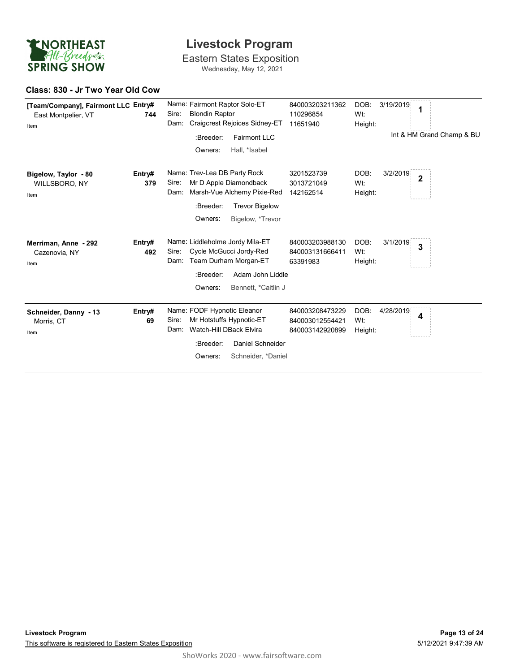

Eastern States Exposition Wednesday, May 12, 2021

#### **Class: 830 - Jr Two Year Old Cow**

| [Team/Company], Fairmont LLC Entry#<br>East Montpelier, VT<br>Item | 744           | Name: Fairmont Raptor Solo-ET<br>840003203211362<br>DOB:<br>3/19/2019<br>1<br><b>Blondin Raptor</b><br>Sire:<br>110296854<br>Wt:<br>Dam:<br>Craigcrest Rejoices Sidney-ET<br>11651940<br>Height:<br>Int & HM Grand Champ & BU<br>:Breeder:<br><b>Fairmont LLC</b>                     |  |
|--------------------------------------------------------------------|---------------|---------------------------------------------------------------------------------------------------------------------------------------------------------------------------------------------------------------------------------------------------------------------------------------|--|
|                                                                    |               | Hall, *Isabel<br>Owners:                                                                                                                                                                                                                                                              |  |
| Bigelow, Taylor - 80<br>WILLSBORO, NY<br>Item                      | Entry#<br>379 | Name: Trev-Lea DB Party Rock<br>DOB:<br>3/2/2019<br>3201523739<br>$\overline{\mathbf{2}}$<br>Mr D Apple Diamondback<br>Sire:<br>Wt:<br>3013721049<br>Marsh-Vue Alchemy Pixie-Red<br>Dam:<br>142162514<br>Height:<br>:Breeder:<br><b>Trevor Bigelow</b><br>Owners:<br>Bigelow, *Trevor |  |
| Merriman, Anne - 292<br>Cazenovia, NY<br>Item                      | Entry#<br>492 | Name: Liddleholme Jordy Mila-ET<br>DOB:<br>840003203988130<br>3/1/2019<br>3<br>Cycle McGucci Jordy-Red<br>Sire:<br>840003131666411<br>Wt:<br>Team Durham Morgan-ET<br>Dam:<br>63391983<br>Height:<br>:Breeder:<br>Adam John Liddle<br>Owners:<br>Bennett, *Caitlin J                  |  |
| Schneider, Danny - 13<br>Morris, CT<br>Item                        | Entry#<br>69  | Name: FODF Hypnotic Eleanor<br>DOB:<br>840003208473229<br>4/28/2019<br>4<br>Mr Hotstuffs Hypnotic-ET<br>Sire:<br>840003012554421<br>Wt:<br>Watch-Hill DBack Elvira<br>Dam:<br>840003142920899<br>Height:<br>Daniel Schneider<br>:Breeder:<br>Schneider, *Daniel<br>Owners:            |  |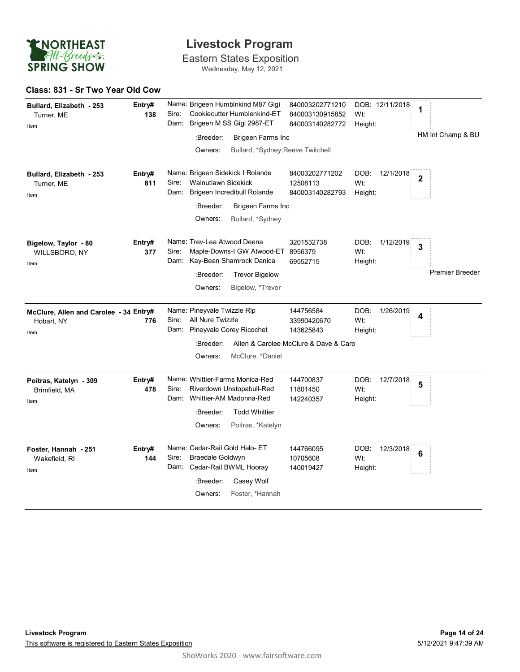

Eastern States Exposition Wednesday, May 12, 2021

#### **Class: 831 - Sr Two Year Old Cow**

| Bullard, Elizabeth - 253<br>Turner, ME<br>Item               | Entry#<br>138 | Name: Brigeen Humblnkind M87 Gigi<br>Cookiecutter Humblenkind-ET<br>Sire:<br>Brigeen M SS Gigi 2987-ET<br>Dam:<br>:Breeder:<br><b>Brigeen Farms Inc</b><br>Owners:<br>Bullard, *Sydney; Reeve Twitchell | 840003202771210<br>840003130915852<br>840003140282772                          | DOB: 12/11/2018<br>Wt:<br>Height:   | 1<br>HM Int Champ & BU |
|--------------------------------------------------------------|---------------|---------------------------------------------------------------------------------------------------------------------------------------------------------------------------------------------------------|--------------------------------------------------------------------------------|-------------------------------------|------------------------|
| Bullard, Elizabeth - 253<br>Turner, ME<br>Item               | Entry#<br>811 | Name: Brigeen Sidekick I Rolande<br><b>Walnutlawn Sidekick</b><br>Sire:<br>Brigeen Incredibull Rolande<br>Dam:<br>:Breeder:<br>Brigeen Farms Inc<br>Owners:<br>Bullard, *Sydney                         | 84003202771202<br>12508113<br>840003140282793                                  | DOB:<br>12/1/2018<br>Wt:<br>Height: | $\overline{2}$         |
| Bigelow, Taylor - 80<br>WILLSBORO, NY<br>Item                | Entry#<br>377 | Name: Trev-Lea Atwood Deena<br>Sire:<br>Maple-Downs-I GW Atwood-ET 8956379<br>Dam: Kay-Bean Shamrock Danica<br>:Breeder:<br><b>Trevor Bigelow</b><br>Owners:<br>Bigelow, *Trevor                        | 3201532738<br>69552715                                                         | DOB:<br>1/12/2019<br>Wt:<br>Height: | 3<br>Premier Breeder.  |
| McClure, Allen and Carolee - 34 Entry#<br>Hobart, NY<br>Item | 776           | Name: Pineyvale Twizzle Rip<br>All Nure Twizzle<br>Sire:<br>Pineyvale Corey Ricochet<br>Dam:<br>:Breeder:<br>McClure, *Daniel<br>Owners:                                                                | 144756584<br>33990420670<br>143625843<br>Allen & Carolee McClure & Dave & Caro | DOB:<br>1/26/2019<br>Wt:<br>Height: | 4                      |
| Poitras, Katelyn - 309<br>Brimfield, MA<br>Item              | Entry#<br>478 | Name: Whittier-Farms Monica-Red<br>Sire:<br>Riverdown Unstopabull-Red<br>Dam: Whittier-AM Madonna-Red<br>:Breeder:<br><b>Todd Whittier</b><br>Owners:<br>Poitras, *Katelyn                              | 144700837<br>11801450<br>142240357                                             | DOB:<br>12/7/2018<br>Wt:<br>Height: | 5                      |
| Foster, Hannah - 251<br>Wakefield, RI<br>Item                | Entry#<br>144 | Name: Cedar-Rail Gold Halo- ET<br>Sire:<br>Braedale Goldwyn<br>Dam: Cedar-Rail BWML Hooray<br>:Breeder:<br>Casey Wolf<br>Foster, *Hannah<br>Owners:                                                     | 144766095<br>10705608<br>140019427                                             | DOB:<br>12/3/2018<br>Wt:<br>Height: | 6                      |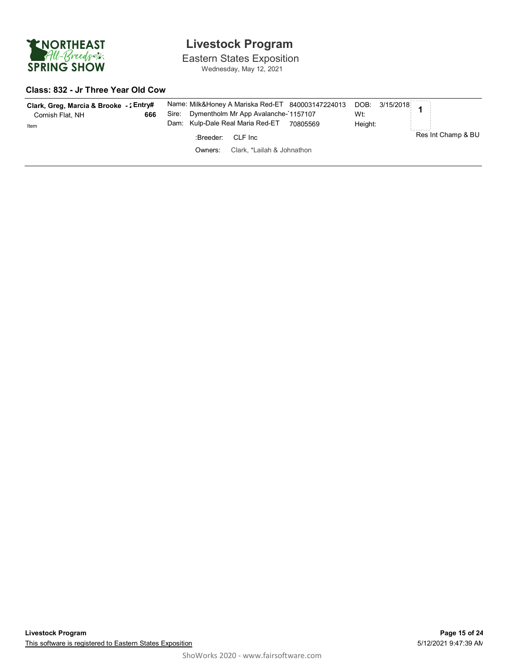

Eastern States Exposition Wednesday, May 12, 2021

#### **Class: 832 - Jr Three Year Old Cow**

| Clark, Greg, Marcia & Brooke -: Entry#<br>666<br>Cornish Flat, NH<br>Item | Name: Milk&Honey A Mariska Red-ET 840003147224013 DOB: 3/15/2018<br>Dymentholm Mr App Avalanche-1157107<br>Sire:<br>Kulp-Dale Real Maria Red-ET<br>Dam:<br>70805569 | Wt:<br>Height:     |
|---------------------------------------------------------------------------|---------------------------------------------------------------------------------------------------------------------------------------------------------------------|--------------------|
|                                                                           | :Breeder:<br>CLF Inc                                                                                                                                                | Res Int Champ & BU |
|                                                                           | Clark, *Lailah & Johnathon<br>Owners:                                                                                                                               |                    |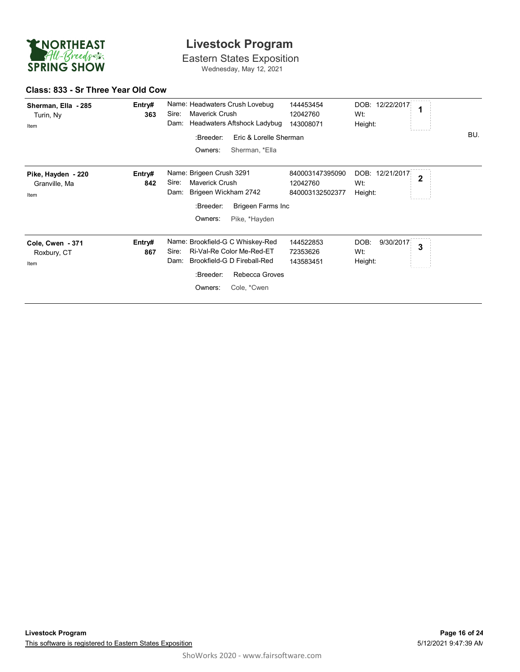

Eastern States Exposition Wednesday, May 12, 2021

#### **Class: 833 - Sr Three Year Old Cow**

| Sherman, Ella - 285<br>Turin, Ny<br>Item    | Entry#<br>363 | Name: Headwaters Crush Lovebug<br>Maverick Crush<br>Sire:<br>Headwaters Aftshock Ladybug<br>Dam:                                                                       | 144453454<br>12042760<br>143008071             | DOB: 12/22/2017<br>1<br>Wt:<br>Height:                 |     |
|---------------------------------------------|---------------|------------------------------------------------------------------------------------------------------------------------------------------------------------------------|------------------------------------------------|--------------------------------------------------------|-----|
|                                             |               | :Breeder:<br>Eric & Lorelle Sherman<br>Owners:<br>Sherman, *Ella                                                                                                       |                                                |                                                        | BU. |
| Pike, Hayden - 220<br>Granville, Ma<br>Item | Entry#<br>842 | Name: Brigeen Crush 3291<br>Sire:<br><b>Maverick Crush</b><br>Brigeen Wickham 2742<br>Dam:<br>:Breeder:<br>Brigeen Farms Inc<br>Owners:<br>Pike, *Hayden               | 840003147395090<br>12042760<br>840003132502377 | DOB:<br>12/21/2017<br>$\overline{2}$<br>Wt:<br>Height: |     |
| Cole, Cwen - 371<br>Roxbury, CT<br>Item     | Entry#<br>867 | Name: Brookfield-G C Whiskey-Red<br>Ri-Val-Re Color Me-Red-ET<br>Sire:<br>Brookfield-G D Fireball-Red<br>Dam:<br>Rebecca Groves<br>:Breeder:<br>Owners:<br>Cole, *Cwen | 144522853<br>72353626<br>143583451             | DOB:<br>9/30/2017<br>3<br>Wt:<br>Height:               |     |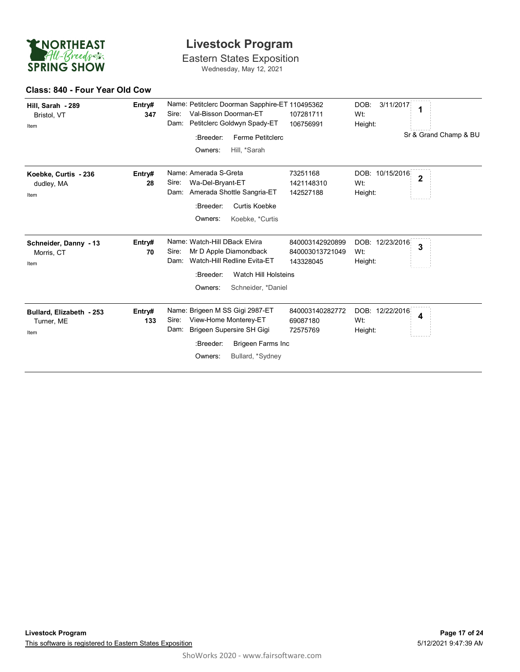

Eastern States Exposition Wednesday, May 12, 2021

#### **Class: 840 - Four Year Old Cow**

| Hill, Sarah - 289<br>Bristol, VT<br>Item       | Entry#<br>347 | Name: Petitclerc Doorman Sapphire-ET 110495362<br>Val-Bisson Doorman-ET<br>Sire:<br>Petitclerc Goldwyn Spady-ET<br>Dam:<br>:Breeder:<br>Ferme Petitclerc<br>Owners:<br>Hill, *Sarah | 107281711<br>106756991                          | DOB:<br>3/11/2017<br>1<br>Wt:<br>Height:<br>Sr & Grand Champ & BU |
|------------------------------------------------|---------------|-------------------------------------------------------------------------------------------------------------------------------------------------------------------------------------|-------------------------------------------------|-------------------------------------------------------------------|
| Koebke, Curtis - 236<br>dudley, MA<br>Item     | Entry#<br>28  | Name: Amerada S-Greta<br>Wa-Del-Bryant-ET<br>Sire:<br>Dam: Amerada Shottle Sangria-ET<br>:Breeder:<br>Curtis Koebke<br>Owners:<br>Koebke, *Curtis                                   | 73251168<br>1421148310<br>142527188             | DOB: 10/15/2016<br>$\overline{2}$<br>Wt:<br>Height:               |
| Schneider, Danny - 13<br>Morris, CT<br>Item    | Entry#<br>70  | Name: Watch-Hill DBack Elvira<br>Sire:<br>Mr D Apple Diamondback<br>Watch-Hill Redline Evita-ET<br>Dam:<br>Watch Hill Holsteins<br>:Breeder:<br>Owners:<br>Schneider, *Daniel       | 840003142920899<br>840003013721049<br>143328045 | DOB: 12/23/2016<br>3<br>Wt:<br>Height:                            |
| Bullard, Elizabeth - 253<br>Turner, ME<br>Item | Entry#<br>133 | Name: Brigeen M SS Gigi 2987-ET<br>View-Home Monterey-ET<br>Sire:<br>Brigeen Supersire SH Gigi<br>Dam:<br>Brigeen Farms Inc<br>:Breeder:<br>Bullard, *Sydney<br>Owners:             | 840003140282772<br>69087180<br>72575769         | DOB: 12/22/2016<br>4<br>Wt:<br>Height:                            |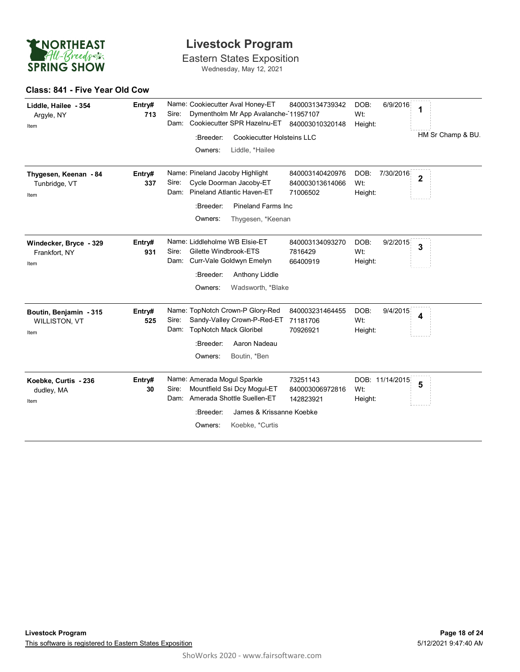

Eastern States Exposition Wednesday, May 12, 2021

#### **Class: 841 - Five Year Old Cow**

| Liddle, Hailee - 354<br>Argyle, NY<br>Item             | Entry#<br>713 | Name: Cookiecutter Aval Honey-ET<br>840003134739342<br>DOB:<br>6/9/2016<br>1<br>Dymentholm Mr App Avalanche-11957107<br>Sire:<br>Wt:<br>Cookiecutter SPR Hazelnu-ET<br>Dam:<br>840003010320148<br>Height:<br>HM Sr Champ & BU.<br>:Breeder:<br><b>Cookiecutter Holsteins LLC</b><br>Owners:<br>Liddle, *Hailee |
|--------------------------------------------------------|---------------|----------------------------------------------------------------------------------------------------------------------------------------------------------------------------------------------------------------------------------------------------------------------------------------------------------------|
| Thygesen, Keenan - 84<br>Tunbridge, VT<br>Item         | Entry#<br>337 | Name: Pineland Jacoby Highlight<br>840003140420976<br>DOB:<br>7/30/2016<br>$\overline{\mathbf{2}}$<br>Sire:<br>Cycle Doorman Jacoby-ET<br>Wt:<br>840003013614066<br><b>Pineland Atlantic Haven-ET</b><br>Dam:<br>71006502<br>Height:<br>:Breeder:<br><b>Pineland Farms Inc</b><br>Owners:<br>Thygesen, *Keenan |
| Windecker, Bryce - 329<br>Frankfort, NY<br>Item        | Entry#<br>931 | Name: Liddleholme WB Elsie-ET<br>840003134093270<br>DOB:<br>9/2/2015<br>3<br>Sire:<br>Gilette Windbrook-ETS<br>7816429<br>Wt:<br>Curr-Vale Goldwyn Emelyn<br>Dam:<br>66400919<br>Height:<br>:Breeder:<br>Anthony Liddle<br>Owners:<br>Wadsworth, *Blake                                                        |
| Boutin, Benjamin - 315<br><b>WILLISTON, VT</b><br>Item | Entry#<br>525 | Name: TopNotch Crown-P Glory-Red<br>840003231464455<br>DOB:<br>9/4/2015<br>4<br>Sandy-Valley Crown-P-Red-ET<br>Sire:<br>71181706<br>Wt:<br><b>TopNotch Mack Gloribel</b><br>Dam:<br>70926921<br>Height:<br>:Breeder:<br>Aaron Nadeau<br>Owners:<br>Boutin, *Ben                                                |
| Koebke, Curtis - 236<br>dudley, MA<br>Item             | Entry#<br>30  | Name: Amerada Mogul Sparkle<br>73251143<br>DOB: 11/14/2015<br>5<br>Mountfield Ssi Dcy Mogul-ET<br>Sire:<br>840003006972816<br>Wt:<br>Amerada Shottle Suellen-ET<br>Dam:<br>142823921<br>Height:<br>James & Krissanne Koebke<br>:Breeder:<br>Koebke, *Curtis<br>Owners:                                         |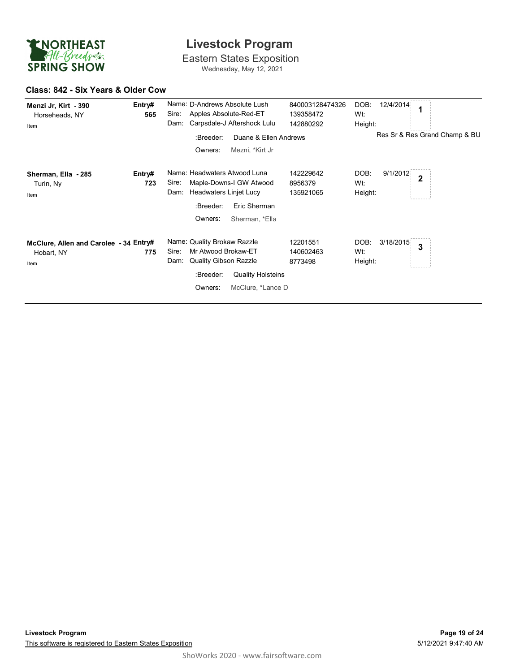

Eastern States Exposition Wednesday, May 12, 2021

#### **Class: 842 - Six Years & Older Cow**

| Menzi Jr, Kirt - 390<br>Horseheads, NY<br>Item               | Entry#<br>565 | Name: D-Andrews Absolute Lush<br>Apples Absolute-Red-ET<br>Sire:<br>Carpsdale-J Aftershock Lulu<br>Dam:                                                                      | 840003128474326<br>139358472<br>142880292 | 12/4/2014<br>DOB:<br>Wt:<br>Height:                           |
|--------------------------------------------------------------|---------------|------------------------------------------------------------------------------------------------------------------------------------------------------------------------------|-------------------------------------------|---------------------------------------------------------------|
|                                                              |               | :Breeder:<br>Duane & Ellen Andrews<br>Owners:<br>Mezni, *Kirt Jr                                                                                                             |                                           | Res Sr & Res Grand Champ & BU                                 |
| Sherman, Ella - 285<br>Turin, Ny<br>Item                     | Entry#<br>723 | Name: Headwaters Atwood Luna<br>Maple-Downs-I GW Atwood<br>Sire:<br><b>Headwaters Linjet Lucy</b><br>Dam:<br>:Breeder:<br>Eric Sherman<br>Owners:<br>Sherman, *Ella          | 142229642<br>8956379<br>135921065         | DOB:<br>9/1/2012<br>$\overline{\mathbf{2}}$<br>Wt:<br>Height: |
| McClure, Allen and Carolee - 34 Entry#<br>Hobart, NY<br>Item | 775           | Name: Quality Brokaw Razzle<br>Mr Atwood Brokaw-ET<br>Sire:<br><b>Quality Gibson Razzle</b><br>Dam:<br><b>Quality Holsteins</b><br>:Breeder:<br>Owners:<br>McClure, *Lance D | 12201551<br>140602463<br>8773498          | DOB:<br>3/18/2015<br>3<br>Wt:<br>Height:                      |